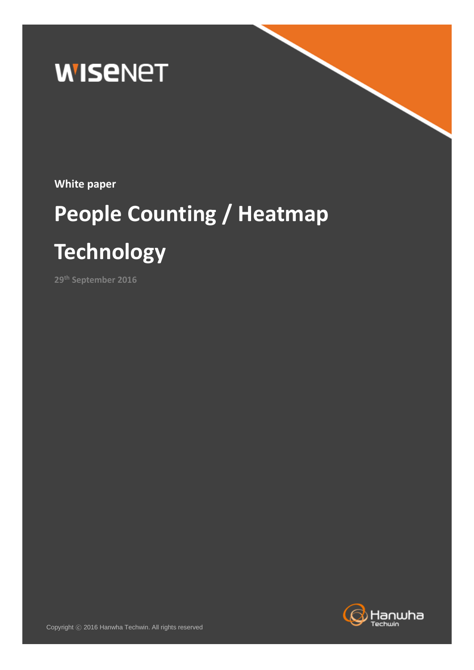

**White paper**

# **People Counting / Heatmap Technology**

**29th September 2016**

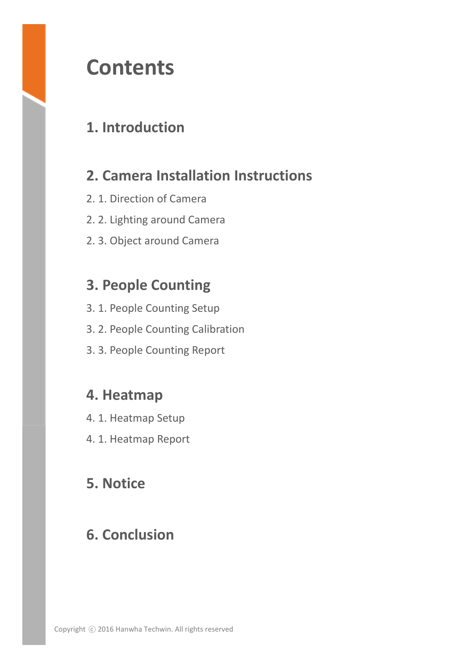# **Contents**

## **1. Introduction**

## **2. Camera Installation Instructions**

- 2. 1. Direction of Camera
- 2. 2. Lighting around Camera
- 2. 3. Object around Camera

## **3. People Counting**

- 3. 1. People Counting Setup
- 3. 2. People Counting Calibration
- 3. 3. People Counting Report

## **4. Heatmap**

- 4. 1. Heatmap Setup
- 4. 1. Heatmap Report

## **5. Notice**

## **6. Conclusion**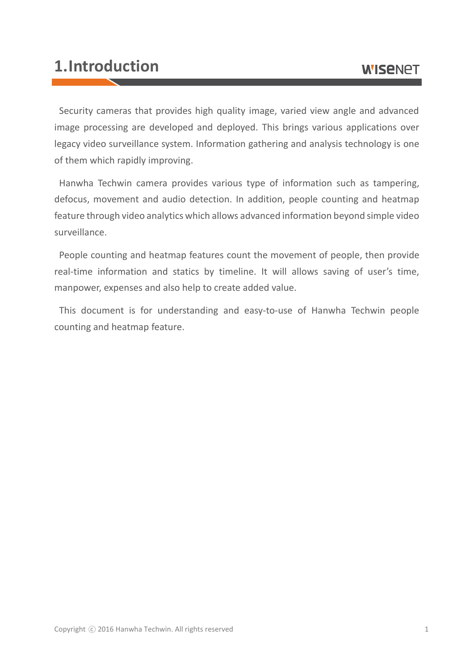## **1.Introduction**

Security cameras that provides high quality image, varied view angle and advanced image processing are developed and deployed. This brings various applications over legacy video surveillance system. Information gathering and analysis technology is one of them which rapidly improving.

Hanwha Techwin camera provides various type of information such as tampering, defocus, movement and audio detection. In addition, people counting and heatmap feature through video analytics which allows advanced information beyond simple video surveillance.

People counting and heatmap features count the movement of people, then provide real-time information and statics by timeline. It will allows saving of user's time, manpower, expenses and also help to create added value.

This document is for understanding and easy-to-use of Hanwha Techwin people counting and heatmap feature.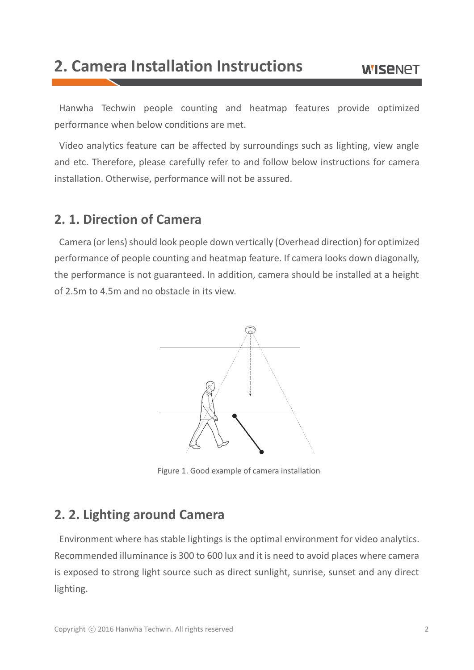# **2. Camera Installation Instructions**

Hanwha Techwin people counting and heatmap features provide optimized performance when below conditions are met.

Video analytics feature can be affected by surroundings such as lighting, view angle and etc. Therefore, please carefully refer to and follow below instructions for camera installation. Otherwise, performance will not be assured.

#### **2. 1. Direction of Camera**

Camera (or lens) should look people down vertically (Overhead direction) for optimized performance of people counting and heatmap feature. If camera looks down diagonally, the performance is not guaranteed. In addition, camera should be installed at a height of 2.5m to 4.5m and no obstacle in its view.



Figure 1. Good example of camera installation

#### **2. 2. Lighting around Camera**

Environment where has stable lightings is the optimal environment for video analytics. Recommended illuminance is 300 to 600 lux and it is need to avoid places where camera is exposed to strong light source such as direct sunlight, sunrise, sunset and any direct lighting.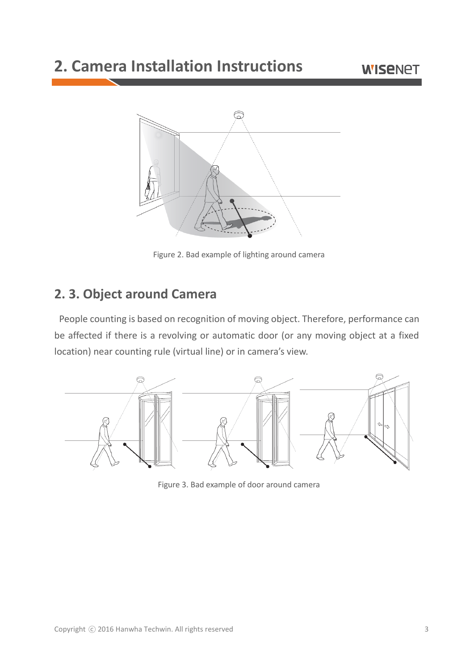# **2. Camera Installation Instructions**



Figure 2. Bad example of lighting around camera

#### **2. 3. Object around Camera**

People counting is based on recognition of moving object. Therefore, performance can be affected if there is a revolving or automatic door (or any moving object at a fixed location) near counting rule (virtual line) or in camera's view.



Figure 3. Bad example of door around camera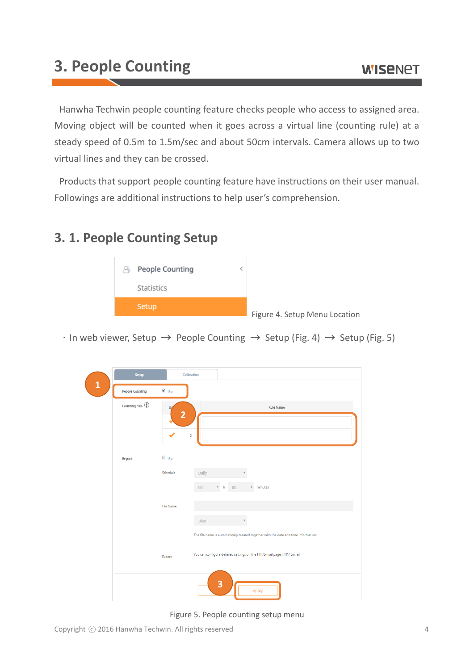Hanwha Techwin people counting feature checks people who access to assigned area. Moving object will be counted when it goes across a virtual line (counting rule) at a steady speed of 0.5m to 1.5m/sec and about 50cm intervals. Camera allows up to two virtual lines and they can be crossed.

Products that support people counting feature have instructions on their user manual. Followings are additional instructions to help user's comprehension.

#### **3. 1. People Counting Setup**



 $\cdot$  In web viewer, Setup  $\rightarrow$  People Counting  $\rightarrow$  Setup (Fig. 4)  $\rightarrow$  Setup (Fig. 5)

|              | Setup                                             |                      | Calibration                                                                                                                                                     |
|--------------|---------------------------------------------------|----------------------|-----------------------------------------------------------------------------------------------------------------------------------------------------------------|
| $\mathbf{1}$ | People Counting                                   | Ø Use                |                                                                                                                                                                 |
|              | Counting rule $\circled{\textcircled{\small{1}}}$ | Us<br>$\overline{2}$ | Rule Name                                                                                                                                                       |
|              |                                                   |                      | $\overline{2}$                                                                                                                                                  |
|              | Report                                            | $\Box$ Use           |                                                                                                                                                                 |
|              |                                                   | Schedule             | Daily<br>${\tt OO}$<br>$v$ minutes<br>$00\,$<br>$v - h$                                                                                                         |
|              |                                                   | <b>File Name</b>     | .xlsx                                                                                                                                                           |
|              |                                                   | Export               | The file name is automatically created together with the date and time information.<br>You can configure detailed settings on the FTP/E-mail page. FTP / E-mail |
|              |                                                   |                      | 3<br>Apply                                                                                                                                                      |

Figure 5. People counting setup menu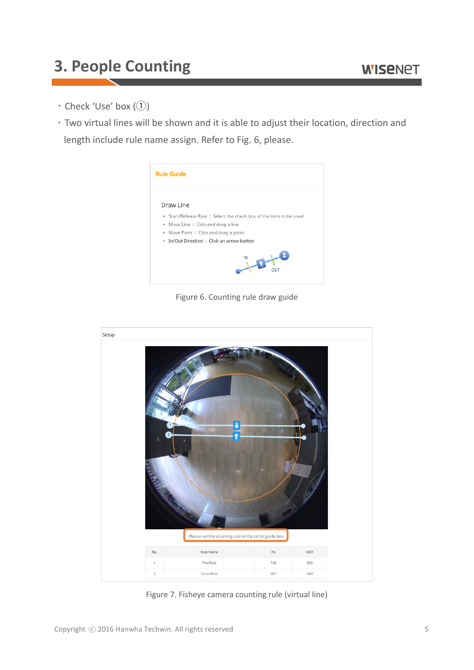- $\cdot$  Check 'Use' box (1)
- Two virtual lines will be shown and it is able to adjust their location, direction and length include rule name assign. Refer to Fig. 6, please.



Figure 6. Counting rule draw guide



Figure 7. Fisheye camera counting rule (virtual line)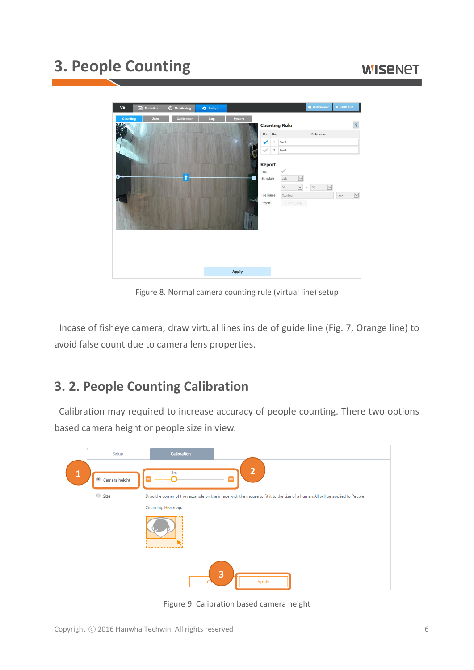## **WISENET**



Figure 8. Normal camera counting rule (virtual line) setup

Incase of fisheye camera, draw virtual lines inside of guide line (Fig. 7, Orange line) to avoid false count due to camera lens properties.

#### **3. 2. People Counting Calibration**

Calibration may required to increase accuracy of people counting. There two options based camera height or people size in view.



Figure 9. Calibration based camera height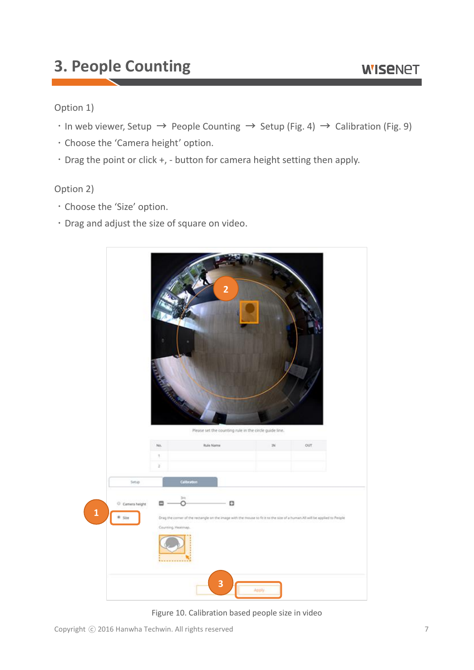#### **WISENET**

#### Option 1)

- $\cdot$  In web viewer, Setup  $\rightarrow$  People Counting  $\rightarrow$  Setup (Fig. 4)  $\rightarrow$  Calibration (Fig. 9)
- Choose the 'Camera height' option.
- $\cdot$  Drag the point or click +, button for camera height setting then apply.

#### Option 2)

- Choose the 'Size' option.
- Drag and adjust the size of square on video.



Figure 10. Calibration based people size in video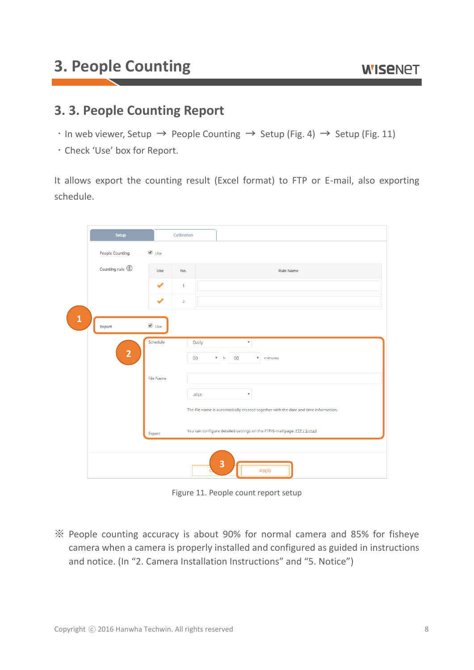#### **3. 3. People Counting Report**

- $\cdot$  In web viewer, Setup  $\rightarrow$  People Counting  $\rightarrow$  Setup (Fig. 4)  $\rightarrow$  Setup (Fig. 11)
- Check 'Use' box for Report.

It allows export the counting result (Excel format) to FTP or E-mail, also exporting schedule.

| Setup                  |                  | Calibration     |                                                                                                                                                                 |
|------------------------|------------------|-----------------|-----------------------------------------------------------------------------------------------------------------------------------------------------------------|
| People Counting        | Ø Use            |                 |                                                                                                                                                                 |
| Counting rule <b>1</b> | Use              | No.             | Rule Name                                                                                                                                                       |
|                        | ✔                | $\overline{1}$  |                                                                                                                                                                 |
|                        |                  | $\overline{2}$  |                                                                                                                                                                 |
| $\mathbf{1}$<br>Report | ✔ Use            |                 |                                                                                                                                                                 |
| $\overline{2}$         | Schedule         | Daily<br>$00\,$ | $\boldsymbol{\mathrm{v}}$<br>$v - h$<br>00<br>$\sqrt{\frac{1}{2}}$ minutes                                                                                      |
|                        | <b>File Name</b> | .xlsx           | $\boldsymbol{\mathrm{v}}$                                                                                                                                       |
|                        | Export           |                 | The file name is automatically created together with the date and time information.<br>You can configure detailed settings on the FTP/E-mail page. FTP / E-mail |
|                        |                  |                 |                                                                                                                                                                 |
|                        |                  |                 | 3<br>Apply                                                                                                                                                      |

Figure 11. People count report setup

People counting accuracy is about 90% for normal camera and 85% for fisheye camera when a camera is properly installed and configured as guided in instructions and notice. (In "2. Camera Installation Instructions" and "5. Notice")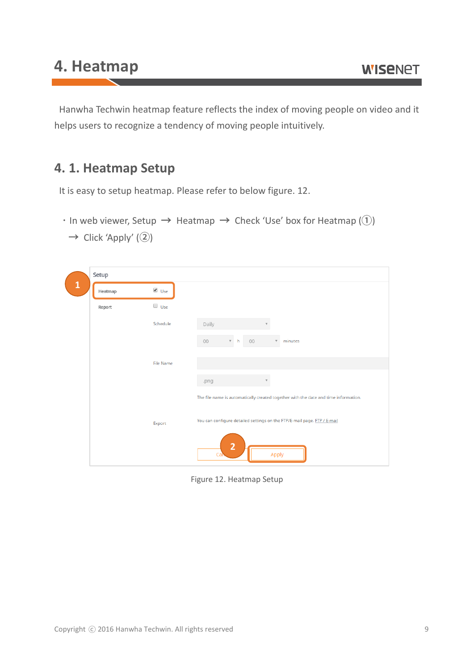Hanwha Techwin heatmap feature reflects the index of moving people on video and it helps users to recognize a tendency of moving people intuitively.

#### **4. 1. Heatmap Setup**

It is easy to setup heatmap. Please refer to below figure. 12.

 $\cdot$  In web viewer, Setup  $\rightarrow$  Heatmap  $\rightarrow$  Check 'Use' box for Heatmap (1)

|              | Setup   |                  |                                                                                             |
|--------------|---------|------------------|---------------------------------------------------------------------------------------------|
| $\mathbf{1}$ | Heatmap | ✔ Use            |                                                                                             |
|              | Report  | $\Box$ Use       |                                                                                             |
|              |         | Schedule         | Daily                                                                                       |
|              |         |                  | $00\,$<br>$00\,$<br>minutes<br>$v - h$<br>$\overline{\mathbf{v}}$                           |
|              |         | <b>File Name</b> |                                                                                             |
|              |         |                  |                                                                                             |
|              |         |                  | .png<br>The file name is automatically created together with the date and time information. |
|              |         | Export           | You can configure detailed settings on the FTP/E-mail page. FTP / E-mail                    |
|              |         |                  | $\overline{2}$<br>Apply<br>Cai                                                              |

 $\rightarrow$  Click 'Apply' (2)

Figure 12. Heatmap Setup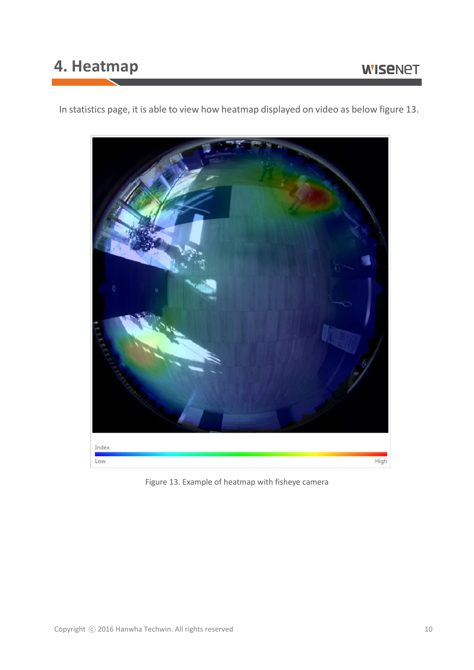## **4. Heatmap**

In statistics page, it is able to view how heatmap displayed on video as below figure 13.



Figure 13. Example of heatmap with fisheye camera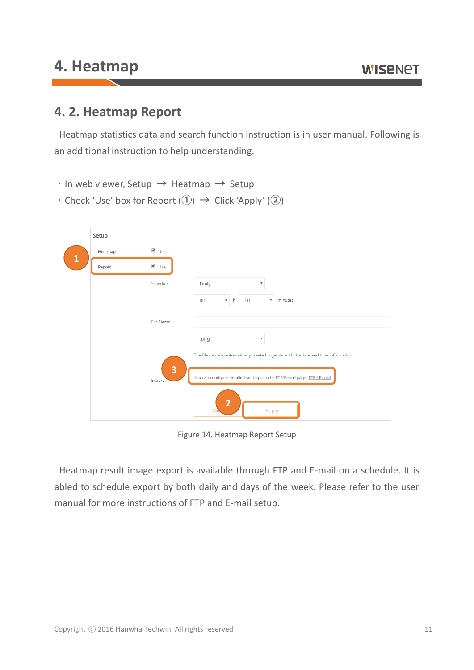## **4. Heatmap**

#### **4. 2. Heatmap Report**

Heatmap statistics data and search function instruction is in user manual. Following is an additional instruction to help understanding.

- $\cdot$  In web viewer, Setup  $\rightarrow$  Heatmap  $\rightarrow$  Setup
- $\cdot$  Check 'Use' box for Report  $( \widehat{\mathbb{Q}} ) \rightarrow$  Click 'Apply'  $( \widehat{\mathbb{Q}} )$

| Heatmap<br>Ø Use<br>Report<br>Schedule<br><b>Daily</b><br>$\boldsymbol{\mathrm{v}}$<br>$00\,$<br>$00\,$<br>minutes<br>$\mathbf{v}$ h<br>$\overline{\mathbf{v}}$<br><b>File Name</b><br>$\overline{\mathbf{v}}$<br>.png<br>The file name is automatically created together with the date and time information.<br>3<br>You can configure detailed settings on the FTP/E-mail page. FTP / E-mail<br>Export | Setup |            |  |
|----------------------------------------------------------------------------------------------------------------------------------------------------------------------------------------------------------------------------------------------------------------------------------------------------------------------------------------------------------------------------------------------------------|-------|------------|--|
|                                                                                                                                                                                                                                                                                                                                                                                                          |       | $\vee$ Use |  |
|                                                                                                                                                                                                                                                                                                                                                                                                          |       |            |  |
|                                                                                                                                                                                                                                                                                                                                                                                                          |       |            |  |
|                                                                                                                                                                                                                                                                                                                                                                                                          |       |            |  |
|                                                                                                                                                                                                                                                                                                                                                                                                          |       |            |  |
|                                                                                                                                                                                                                                                                                                                                                                                                          |       |            |  |
|                                                                                                                                                                                                                                                                                                                                                                                                          |       |            |  |
|                                                                                                                                                                                                                                                                                                                                                                                                          |       |            |  |
|                                                                                                                                                                                                                                                                                                                                                                                                          |       |            |  |
|                                                                                                                                                                                                                                                                                                                                                                                                          |       |            |  |

Figure 14. Heatmap Report Setup

Heatmap result image export is available through FTP and E-mail on a schedule. It is abled to schedule export by both daily and days of the week. Please refer to the user manual for more instructions of FTP and E-mail setup.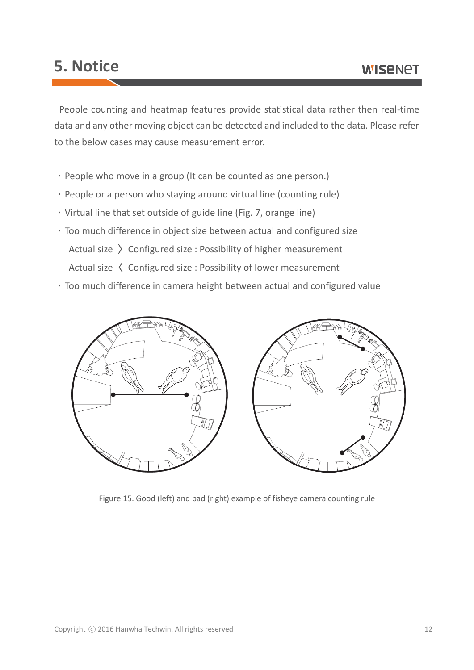## **5. Notice**

People counting and heatmap features provide statistical data rather then real-time data and any other moving object can be detected and included to the data. Please refer to the below cases may cause measurement error.

- People who move in a group (It can be counted as one person.)
- People or a person who staying around virtual line (counting rule)
- Virtual line that set outside of guide line (Fig. 7, orange line)
- Too much difference in object size between actual and configured size Actual size  $\sum$  Configured size : Possibility of higher measurement Actual size  $\langle$  Configured size : Possibility of lower measurement
- Too much difference in camera height between actual and configured value



Figure 15. Good (left) and bad (right) example of fisheye camera counting rule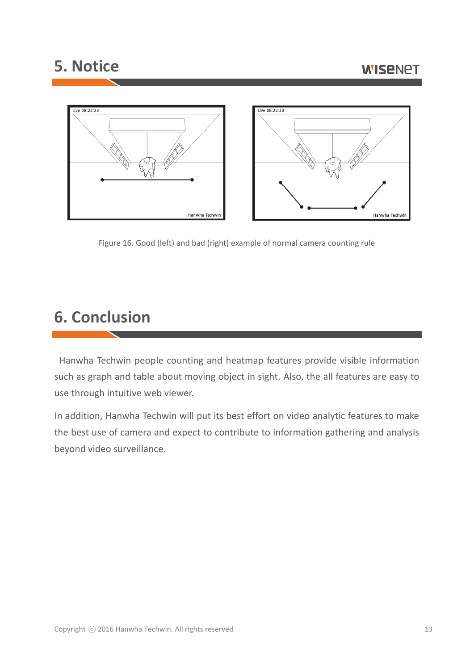### **5. Notice**



Figure 16. Good (left) and bad (right) example of normal camera counting rule

# **6. Conclusion**

Hanwha Techwin people counting and heatmap features provide visible information such as graph and table about moving object in sight. Also, the all features are easy to use through intuitive web viewer.

In addition, Hanwha Techwin will put its best effort on video analytic features to make the best use of camera and expect to contribute to information gathering and analysis beyond video surveillance.